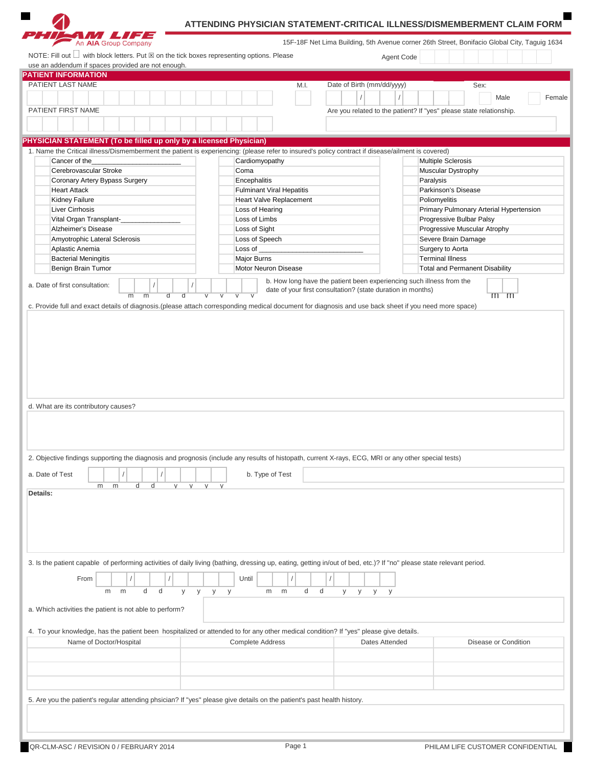

## **ATTENDING PHYSICIAN STATEMENT-CRITICAL ILLNESS/DISMEMBERMENT CLAIM FORM**

 $\blacksquare$ 

| <b>PATIENT INFORMATION</b>                                                                                                                                                                                                                                                                                                                                                                                   |             |                                  |                                                                      |                |                                                                     |
|--------------------------------------------------------------------------------------------------------------------------------------------------------------------------------------------------------------------------------------------------------------------------------------------------------------------------------------------------------------------------------------------------------------|-------------|----------------------------------|----------------------------------------------------------------------|----------------|---------------------------------------------------------------------|
| PATIENT LAST NAME                                                                                                                                                                                                                                                                                                                                                                                            |             | M.I.                             | Date of Birth (mm/dd/yyyy)                                           |                | Sex:                                                                |
|                                                                                                                                                                                                                                                                                                                                                                                                              |             |                                  |                                                                      |                | Male<br>Female                                                      |
| PATIENT FIRST NAME                                                                                                                                                                                                                                                                                                                                                                                           |             |                                  |                                                                      |                | Are you related to the patient? If "yes" please state relationship. |
|                                                                                                                                                                                                                                                                                                                                                                                                              |             |                                  |                                                                      |                |                                                                     |
|                                                                                                                                                                                                                                                                                                                                                                                                              |             |                                  |                                                                      |                |                                                                     |
| PHYSICIAN STATEMENT (To be filled up only by a licensed Physician)                                                                                                                                                                                                                                                                                                                                           |             |                                  |                                                                      |                |                                                                     |
| 1. Name the Critical illness/Dismemberment the patient is experiencing: (please refer to insured's policy contract if disease/ailment is covered)                                                                                                                                                                                                                                                            |             |                                  |                                                                      |                |                                                                     |
| Cancer of the                                                                                                                                                                                                                                                                                                                                                                                                |             | Cardiomyopathy                   |                                                                      |                | <b>Multiple Sclerosis</b>                                           |
| Cerebrovascular Stroke                                                                                                                                                                                                                                                                                                                                                                                       |             | Coma                             |                                                                      |                | Muscular Dystrophy                                                  |
| Coronary Artery Bypass Surgery                                                                                                                                                                                                                                                                                                                                                                               |             | Encephalitis                     |                                                                      | Paralysis      |                                                                     |
| <b>Heart Attack</b>                                                                                                                                                                                                                                                                                                                                                                                          |             | <b>Fulminant Viral Hepatitis</b> |                                                                      |                | Parkinson's Disease                                                 |
| Kidney Failure                                                                                                                                                                                                                                                                                                                                                                                               |             | Heart Valve Replacement          |                                                                      |                | Poliomyelitis                                                       |
| Liver Cirrhosis                                                                                                                                                                                                                                                                                                                                                                                              |             | Loss of Hearing                  |                                                                      |                | Primary Pulmonary Arterial Hypertension                             |
| Vital Organ Transplant-                                                                                                                                                                                                                                                                                                                                                                                      |             | Loss of Limbs                    |                                                                      |                | Progressive Bulbar Palsy                                            |
| Alzheimer's Disease                                                                                                                                                                                                                                                                                                                                                                                          |             | Loss of Sight                    |                                                                      |                | Progressive Muscular Atrophy                                        |
| Amyotrophic Lateral Sclerosis                                                                                                                                                                                                                                                                                                                                                                                |             | Loss of Speech                   |                                                                      |                | Severe Brain Damage                                                 |
| Aplastic Anemia                                                                                                                                                                                                                                                                                                                                                                                              |             | Loss of                          |                                                                      |                | Surgery to Aorta                                                    |
| <b>Bacterial Meningitis</b>                                                                                                                                                                                                                                                                                                                                                                                  |             | Major Burns                      |                                                                      |                | <b>Terminal Illness</b>                                             |
| Benign Brain Tumor                                                                                                                                                                                                                                                                                                                                                                                           |             | Motor Neuron Disease             |                                                                      |                | <b>Total and Permanent Disability</b>                               |
| a. Date of first consultation:                                                                                                                                                                                                                                                                                                                                                                               |             |                                  | b. How long have the patient been experiencing such illness from the |                |                                                                     |
| $\overline{m}$<br>$\overline{m}$                                                                                                                                                                                                                                                                                                                                                                             |             |                                  | date of your first consultation? (state duration in months)          |                | $m$ $m$                                                             |
|                                                                                                                                                                                                                                                                                                                                                                                                              |             |                                  |                                                                      |                |                                                                     |
| d<br>m<br>m                                                                                                                                                                                                                                                                                                                                                                                                  | V<br>V      | b. Type of Test                  |                                                                      |                |                                                                     |
| d. What are its contributory causes?<br>2. Objective findings supporting the diagnosis and prognosis (include any results of histopath, current X-rays, ECG, MRI or any other special tests)<br>a. Date of Test<br>Details:<br>3. Is the patient capable of performing activities of daily living (bathing, dressing up, eating, getting in/out of bed, etc.)? If "no" please state relevant period.<br>From |             | Until                            |                                                                      |                |                                                                     |
| d<br>d<br>m<br>m                                                                                                                                                                                                                                                                                                                                                                                             | y<br>У<br>У | d<br>y<br>m<br>m                 | d<br>y<br>y<br>У                                                     | У              |                                                                     |
| a. Which activities the patient is not able to perform?                                                                                                                                                                                                                                                                                                                                                      |             |                                  |                                                                      |                |                                                                     |
| 4. To your knowledge, has the patient been hospitalized or attended to for any other medical condition? If "yes" please give details.                                                                                                                                                                                                                                                                        |             |                                  |                                                                      |                |                                                                     |
| Name of Doctor/Hospital                                                                                                                                                                                                                                                                                                                                                                                      |             | <b>Complete Address</b>          |                                                                      | Dates Attended | Disease or Condition                                                |
|                                                                                                                                                                                                                                                                                                                                                                                                              |             |                                  |                                                                      |                |                                                                     |
|                                                                                                                                                                                                                                                                                                                                                                                                              |             |                                  |                                                                      |                |                                                                     |
| 5. Are you the patient's regular attending phsician? If "yes" please give details on the patient's past health history.                                                                                                                                                                                                                                                                                      |             |                                  |                                                                      |                |                                                                     |